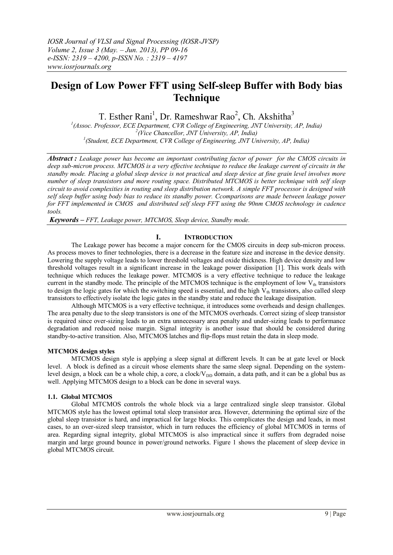# **Design of Low Power FFT using Self-sleep Buffer with Body bias Technique**

T. Esther Rani<sup>1</sup>, Dr. Rameshwar Rao<sup>2</sup>, Ch. Akshitha<sup>3</sup>

*1 (Assoc. Professor, ECE Department, CVR College of Engineering, JNT University, AP, India) 2 (Vice Chancellor, JNT University, AP, India) 1 (Student, ECE Department, CVR College of Engineering, JNT University, AP, India)*

*Abstract : Leakage power has become an important contributing factor of power for the CMOS circuits in deep sub-micron process. MTCMOS is a very effective technique to reduce the leakage current of circuits in the standby mode. Placing a global sleep device is not practical and sleep device at fine grain level involves more number of sleep transistors and more routing space. Distributed MTCMOS is better technique with self sleep circuit to avoid complexities in routing and sleep distribution network. A simple FFT processor is designed with self sleep buffer using body bias to reduce its standby power. Ccomparisons are made between leakage power for FFT implemented in CMOS and distributed self sleep FFT using the 90nm CMOS technology in cadence tools.*

*Keywords – FFT, Leakage power, MTCMOS, Sleep device, Standby mode.*

# **I. INTRODUCTION**

The Leakage power has become a major concern for the CMOS circuits in deep sub-micron process. As process moves to finer technologies, there is a decrease in the feature size and increase in the device density. Lowering the supply voltage leads to lower threshold voltages and oxide thickness. High device density and low threshold voltages result in a significant increase in the leakage power dissipation [1]. This work deals with technique which reduces the leakage power. MTCMOS is a very effective technique to reduce the leakage current in the standby mode. The principle of the MTCMOS technique is the employment of low  $V_{th}$  transistors to design the logic gates for which the switching speed is essential, and the high  $V_{th}$  transistors, also called sleep transistors to effectively isolate the logic gates in the standby state and reduce the leakage dissipation.

Although MTCMOS is a very effective technique, it introduces some overheads and design challenges. The area penalty due to the sleep transistors is one of the MTCMOS overheads. Correct sizing of sleep transistor is required since over-sizing leads to an extra unnecessary area penalty and under-sizing leads to performance degradation and reduced noise margin. Signal integrity is another issue that should be considered during standby-to-active transition. Also, MTCMOS latches and flip-flops must retain the data in sleep mode.

# **MTCMOS design styles**

MTCMOS design style is applying a sleep signal at different levels. It can be at gate level or block level. A block is defined as a circuit whose elements share the same sleep signal. Depending on the systemlevel design, a block can be a whole chip, a core, a clock/ $V_{DD}$  domain, a data path, and it can be a global bus as well. Applying MTCMOS design to a block can be done in several ways.

# **1.1. Global MTCMOS**

Global MTCMOS controls the whole block via a large centralized single sleep transistor. Global MTCMOS style has the lowest optimal total sleep transistor area. However, determining the optimal size of the global sleep transistor is hard, and impractical for large blocks. This complicates the design and leads, in most cases, to an over-sized sleep transistor, which in turn reduces the efficiency of global MTCMOS in terms of area. Regarding signal integrity, global MTCMOS is also impractical since it suffers from degraded noise margin and large ground bounce in power/ground networks. Figure 1 shows the placement of sleep device in global MTCMOS circuit.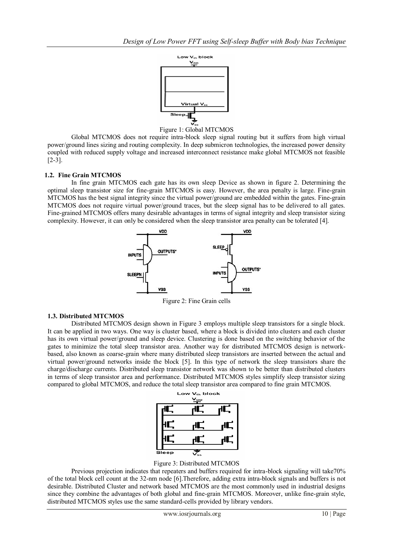



Global MTCMOS does not require intra-block sleep signal routing but it suffers from high virtual power/ground lines sizing and routing complexity. In deep submicron technologies, the increased power density coupled with reduced supply voltage and increased interconnect resistance make global MTCMOS not feasible [2-3].

# **1.2. Fine Grain MTCMOS**

In fine grain MTCMOS each gate has its own sleep Device as shown in figure 2. Determining the optimal sleep transistor size for fine-grain MTCMOS is easy. However, the area penalty is large. Fine-grain MTCMOS has the best signal integrity since the virtual power/ground are embedded within the gates. Fine-grain MTCMOS does not require virtual power/ground traces, but the sleep signal has to be delivered to all gates. Fine-grained MTCMOS offers many desirable advantages in terms of signal integrity and sleep transistor sizing complexity. However, it can only be considered when the sleep transistor area penalty can be tolerated [4].



Figure 2: Fine Grain cells

# **1.3. Distributed MTCMOS**

Distributed MTCMOS design shown in Figure 3 employs multiple sleep transistors for a single block. It can be applied in two ways. One way is cluster based, where a block is divided into clusters and each cluster has its own virtual power/ground and sleep device. Clustering is done based on the switching behavior of the gates to minimize the total sleep transistor area. Another way for distributed MTCMOS design is networkbased, also known as coarse-grain where many distributed sleep transistors are inserted between the actual and virtual power/ground networks inside the block [5]. In this type of network the sleep transistors share the charge/discharge currents. Distributed sleep transistor network was shown to be better than distributed clusters in terms of sleep transistor area and performance. Distributed MTCMOS styles simplify sleep transistor sizing compared to global MTCMOS, and reduce the total sleep transistor area compared to fine grain MTCMOS.



Figure 3: Distributed MTCMOS

Previous projection indicates that repeaters and buffers required for intra-block signaling will take70% of the total block cell count at the 32-nm node [6].Therefore, adding extra intra-block signals and buffers is not desirable. Distributed Cluster and network based MTCMOS are the most commonly used in industrial designs since they combine the advantages of both global and fine-grain MTCMOS. Moreover, unlike fine-grain style, distributed MTCMOS styles use the same standard-cells provided by library vendors.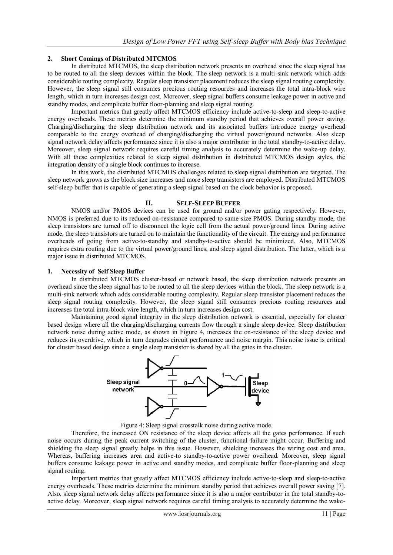# **2. Short Comings of Distributed MTCMOS**

In distributed MTCMOS, the sleep distribution network presents an overhead since the sleep signal has to be routed to all the sleep devices within the block. The sleep network is a multi-sink network which adds considerable routing complexity. Regular sleep transistor placement reduces the sleep signal routing complexity. However, the sleep signal still consumes precious routing resources and increases the total intra-block wire length, which in turn increases design cost. Moreover, sleep signal buffers consume leakage power in active and standby modes, and complicate buffer floor-planning and sleep signal routing.

Important metrics that greatly affect MTCMOS efficiency include active-to-sleep and sleep-to-active energy overheads. These metrics determine the minimum standby period that achieves overall power saving. Charging/discharging the sleep distribution network and its associated buffers introduce energy overhead comparable to the energy overhead of charging/discharging the virtual power/ground networks. Also sleep signal network delay affects performance since it is also a major contributor in the total standby-to-active delay. Moreover, sleep signal network requires careful timing analysis to accurately determine the wake-up delay. With all these complexities related to sleep signal distribution in distributed MTCMOS design styles, the integration density of a single block continues to increase.

In this work, the distributed MTCMOS challenges related to sleep signal distribution are targeted. The sleep network grows as the block size increases and more sleep transistors are employed. Distributed MTCMOS self-sleep buffer that is capable of generating a sleep signal based on the clock behavior is proposed.

# **II. SELF-SLEEP BUFFER**

NMOS and/or PMOS devices can be used for ground and/or power gating respectively. However, NMOS is preferred due to its reduced on-resistance compared to same size PMOS. During standby mode, the sleep transistors are turned off to disconnect the logic cell from the actual power/ground lines. During active mode, the sleep transistors are turned on to maintain the functionality of the circuit. The energy and performance overheads of going from active-to-standby and standby-to-active should be minimized. Also, MTCMOS requires extra routing due to the virtual power/ground lines, and sleep signal distribution. The latter, which is a major issue in distributed MTCMOS.

# **1. Necessity of Self Sleep Buffer**

In distributed MTCMOS cluster-based or network based, the sleep distribution network presents an overhead since the sleep signal has to be routed to all the sleep devices within the block. The sleep network is a multi-sink network which adds considerable routing complexity. Regular sleep transistor placement reduces the sleep signal routing complexity. However, the sleep signal still consumes precious routing resources and increases the total intra-block wire length, which in turn increases design cost.

Maintaining good signal integrity in the sleep distribution network is essential, especially for cluster based design where all the charging/discharging currents flow through a single sleep device. Sleep distribution network noise during active mode, as shown in Figure 4, increases the on-resistance of the sleep device and reduces its overdrive, which in turn degrades circuit performance and noise margin. This noise issue is critical for cluster based design since a single sleep transistor is shared by all the gates in the cluster.



Figure 4: Sleep signal crosstalk noise during active mode.

Therefore, the increased ON resistance of the sleep device affects all the gates performance. If such noise occurs during the peak current switching of the cluster, functional failure might occur. Buffering and shielding the sleep signal greatly helps in this issue. However, shielding increases the wiring cost and area. Whereas, buffering increases area and active-to standby-to-active power overhead. Moreover, sleep signal buffers consume leakage power in active and standby modes, and complicate buffer floor-planning and sleep signal routing.

Important metrics that greatly affect MTCMOS efficiency include active-to-sleep and sleep-to-active energy overheads. These metrics determine the minimum standby period that achieves overall power saving [7]. Also, sleep signal network delay affects performance since it is also a major contributor in the total standby-toactive delay. Moreover, sleep signal network requires careful timing analysis to accurately determine the wake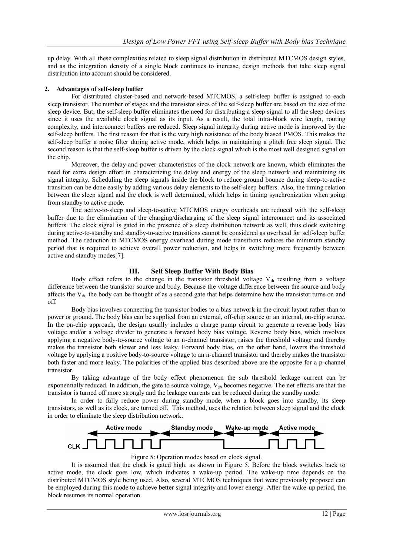up delay. With all these complexities related to sleep signal distribution in distributed MTCMOS design styles, and as the integration density of a single block continues to increase, design methods that take sleep signal distribution into account should be considered.

## **2. Advantages of self-sleep buffer**

For distributed cluster-based and network-based MTCMOS, a self-sleep buffer is assigned to each sleep transistor. The number of stages and the transistor sizes of the self-sleep buffer are based on the size of the sleep device. But, the self-sleep buffer eliminates the need for distributing a sleep signal to all the sleep devices since it uses the available clock signal as its input. As a result, the total intra-block wire length, routing complexity, and interconnect buffers are reduced. Sleep signal integrity during active mode is improved by the self-sleep buffers. The first reason for that is the very high resistance of the body biased PMOS. This makes the self-sleep buffer a noise filter during active mode, which helps in maintaining a glitch free sleep signal. The second reason is that the self-sleep buffer is driven by the clock signal which is the most well designed signal on the chip.

Moreover, the delay and power characteristics of the clock network are known, which eliminates the need for extra design effort in characterizing the delay and energy of the sleep network and maintaining its signal integrity. Scheduling the sleep signals inside the block to reduce ground bounce during sleep-to-active transition can be done easily by adding various delay elements to the self-sleep buffers. Also, the timing relation between the sleep signal and the clock is well determined, which helps in timing synchronization when going from standby to active mode.

The active-to-sleep and sleep-to-active MTCMOS energy overheads are reduced with the self-sleep buffer due to the elimination of the charging/discharging of the sleep signal interconnect and its associated buffers. The clock signal is gated in the presence of a sleep distribution network as well, thus clock switching during active-to-standby and standby-to-active transitions cannot be considered as overhead for self-sleep buffer method. The reduction in MTCMOS energy overhead during mode transitions reduces the minimum standby period that is required to achieve overall power reduction, and helps in switching more frequently between active and standby modes[7].

# **III. Self Sleep Buffer With Body Bias**

Body effect refers to the change in the transistor threshold voltage  $V_{th}$  resulting from a voltage difference between the transistor source and body. Because the voltage difference between the source and body affects the  $V_{th}$ , the body can be thought of as a second gate that helps determine how the transistor turns on and off.

Body bias involves connecting the transistor bodies to a bias network in the circuit layout rather than to power or ground. The body bias can be supplied from an external, off-chip source or an internal, on-chip source. In the on-chip approach, the design usually includes a charge pump circuit to generate a reverse body bias voltage and/or a voltage divider to generate a forward body bias voltage. Reverse body bias, which involves applying a negative body-to-source voltage to an n-channel transistor, raises the threshold voltage and thereby makes the transistor both slower and less leaky. Forward body bias, on the other hand, lowers the threshold voltage by applying a positive body-to-source voltage to an n-channel transistor and thereby makes the transistor both faster and more leaky. The polarities of the applied bias described above are the opposite for a p-channel transistor.

By taking advantage of the body effect phenomenon the sub threshold leakage current can be exponentially reduced. In addition, the gate to source voltage,  $V_{gs}$  becomes negative. The net effects are that the transistor is turned off more strongly and the leakage currents can be reduced during the standby mode.

In order to fully reduce power during standby mode, when a block goes into standby, its sleep transistors, as well as its clock, are turned off. This method, uses the relation between sleep signal and the clock in order to eliminate the sleep distribution network.



Figure 5: Operation modes based on clock signal.

It is assumed that the clock is gated high, as shown in Figure 5. Before the block switches back to active mode, the clock goes low, which indicates a wake-up period. The wake-up time depends on the distributed MTCMOS style being used. Also, several MTCMOS techniques that were previously proposed can be employed during this mode to achieve better signal integrity and lower energy. After the wake-up period, the block resumes its normal operation.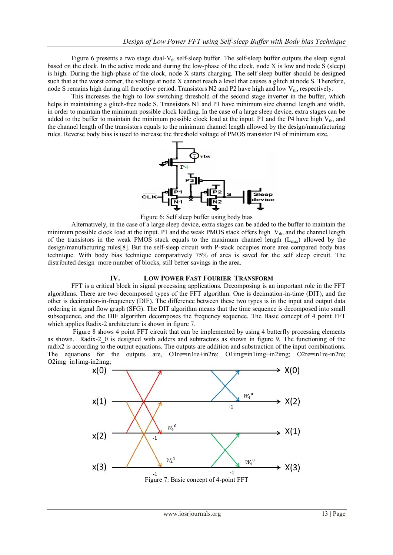Figure 6 presents a two stage dual- $V_{th}$  self-sleep buffer. The self-sleep buffer outputs the sleep signal based on the clock. In the active mode and during the low-phase of the clock, node X is low and node S (sleep) is high. During the high-phase of the clock, node X starts charging. The self sleep buffer should be designed such that at the worst corner, the voltage at node X cannot reach a level that causes a glitch at node S. Therefore, node S remains high during all the active period. Transistors  $N2$  and P2 have high and low  $V_{th}$ , respectively.

This increases the high to low switching threshold of the second stage inverter in the buffer, which helps in maintaining a glitch-free node S. Transistors N1 and P1 have minimum size channel length and width, in order to maintain the minimum possible clock loading. In the case of a large sleep device, extra stages can be added to the buffer to maintain the minimum possible clock load at the input. P1 and the P4 have high  $V_{th}$ , and the channel length of the transistors equals to the minimum channel length allowed by the design/manufacturing rules. Reverse body bias is used to increase the threshold voltage of PMOS transistor P4 of minimum size.



Figure 6: Self sleep buffer using body bias

Alternatively, in the case of a large sleep device, extra stages can be added to the buffer to maintain the minimum possible clock load at the input. P1 and the weak PMOS stack offers high  $V_{th}$ , and the channel length of the transistors in the weak PMOS stack equals to the maximum channel length  $(L_{max})$  allowed by the design/manufacturing rules[8]. But the self-sleep circuit with P-stack occupies more area compared body bias technique. With body bias technique comparatively 75% of area is saved for the self sleep circuit. The distributed design more number of blocks, still better savings in the area.

## **IV. LOW POWER FAST FOURIER TRANSFORM**

FFT is a critical block in signal processing applications. Decomposing is an important role in the FFT algorithms. There are two decomposed types of the FFT algorithm. One is decimation-in-time (DIT), and the other is decimation-in-frequency (DIF). The difference between these two types is in the input and output data ordering in signal flow graph (SFG). The DIT algorithm means that the time sequence is decomposed into small subsequence, and the DIF algorithm decomposes the frequency sequence. The Basic concept of 4 point FFT which applies Radix-2 architecture is shown in figure 7.

Figure 8 shows 4 point FFT circuit that can be implemented by using 4 butterfly processing elements as shown. Radix-2\_0 is designed with adders and subtractors as shown in figure 9. The functioning of the radix2 is according to the output equations. The outputs are addition and substraction of the input combinations. The equations for the outputs are, O1re=in1re+in2re; O1img=in1img+in2img; O2re=in1re-in2re; O2img=in1img-in2img;

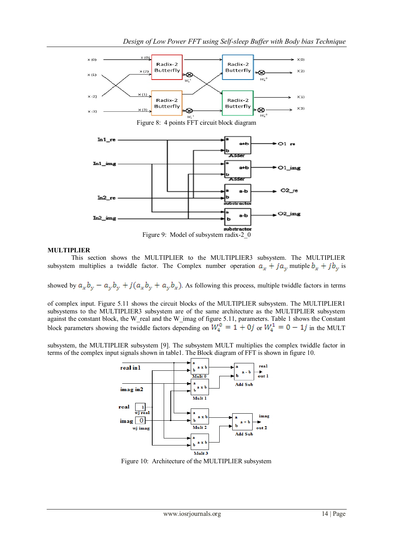

## **MULTIPLIER**

This section shows the MULTIPLIER to the MULTIPLIER3 subsystem. The MULTIPLIER subsystem multiplies a twiddle factor. The Complex number operation  $a_x + ja_y$  mutiple  $b_x + jb_y$  is

showed by  $a_x b_y - a_y b_y + j(a_x b_y + a_y b_x)$ . As following this process, multiple twiddle factors in terms

of complex input. Figure 5.11 shows the circuit blocks of the MULTIPLIER subsystem. The MULTIPLIER1 subsystems to the MULTIPLIER3 subsystem are of the same architecture as the MULTIPLIER subsystem against the constant block, the W\_real and the W\_imag of figure 5.11, parameters. Table 1 shows the Constant block parameters showing the twiddle factors depending on  $W_4^0 = 1 + 0j$  or  $W_4^1 = 0 - 1j$  in the MULT

subsystem, the MULTIPLIER subsystem [9]. The subsystem MULT multiplies the complex twiddle factor in terms of the complex input signals shown in table1. The Block diagram of FFT is shown in figure 10.



Figure 10: Architecture of the MULTIPLIER subsystem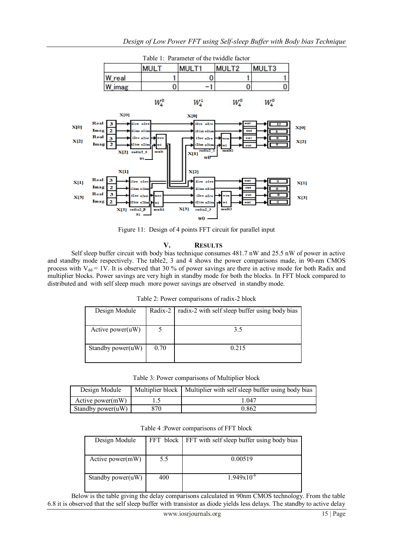

Figure 11: Design of 4 points FFT circuit for parallel input

## **V. RESULTS**

Self sleep buffer circuit with body bias technique consumes 481.7 nW and 25.5 nW of power in active and standby mode respectively. The table2, 3 and 4 shows the power comparisons made, in 90-nm CMOS process with  $V_{dd} = 1V$ . It is observed that 30 % of power savings are there in active mode for both Radix and multiplier blocks. Power savings are very high in standby mode for both the blocks. In FFT block compared to distributed and with self sleep much more power savings are observed in standby mode.

|  |  | Table 2: Power comparisons of radix-2 block |
|--|--|---------------------------------------------|
|--|--|---------------------------------------------|

| Design Module     | Radix-2 | radix-2 with self sleep buffer using body bias |  |
|-------------------|---------|------------------------------------------------|--|
|                   |         |                                                |  |
| Active power(uW)  |         | 35                                             |  |
|                   |         |                                                |  |
| Standby power(uW) | 0.70    | 0.215                                          |  |
|                   |         |                                                |  |

Table 3: Power comparisons of Multiplier block

| Design Module        |     | Multiplier block   Multiplier with self sleep buffer using body bias |
|----------------------|-----|----------------------------------------------------------------------|
| Active power $(mW)$  |     | -047                                                                 |
| Standby power $(uW)$ | 370 | 0.862                                                                |

Table 4 :Power comparisons of FFT block

| Design Module        |     | FFT block FFT with self sleep buffer using body bias |
|----------------------|-----|------------------------------------------------------|
|                      |     |                                                      |
| Active power $(mW)$  | 5.5 | 0.00519                                              |
|                      |     |                                                      |
| Standby power $(uW)$ | 400 | $1.949x10^{-6}$                                      |
|                      |     |                                                      |

Below is the table giving the delay comparisons calculated in 90nm CMOS technology. From the table 6.8 it is observed that the self sleep buffer with transistor as diode yields less delays. The standby to active delay